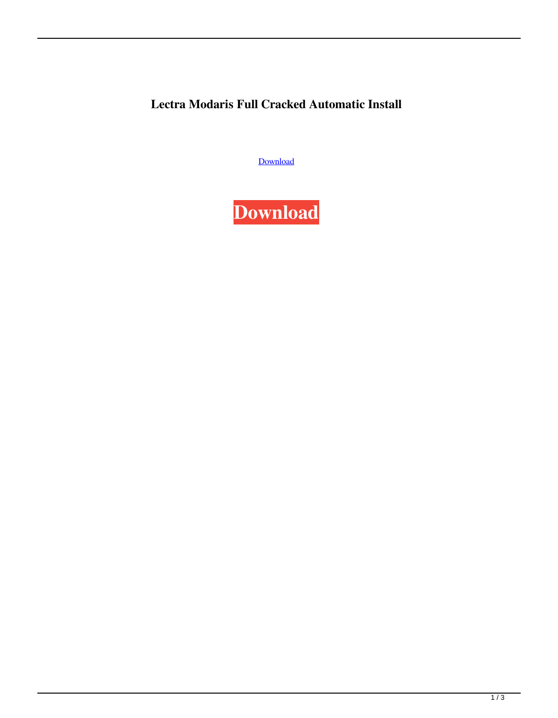**Lectra Modaris Full Cracked Automatic Install**

[Download](http://evacdir.com/aftereffects/colorectal.ZG93bmxvYWR8RFE5TlhnMGZId3hOalV5TkRZek1EVXdmSHd5TlRjMGZId29UU2tnY21WaFpDMWliRzluSUZ0R1lYTjBJRWRGVGww/insolent.stripping/outmanouvered.bGVjdHJhIG1vZGFyaXMgZnVsbCBjcmFja2VkIGF1dG9tYXRpYyBpbnN0YWxsbGV)

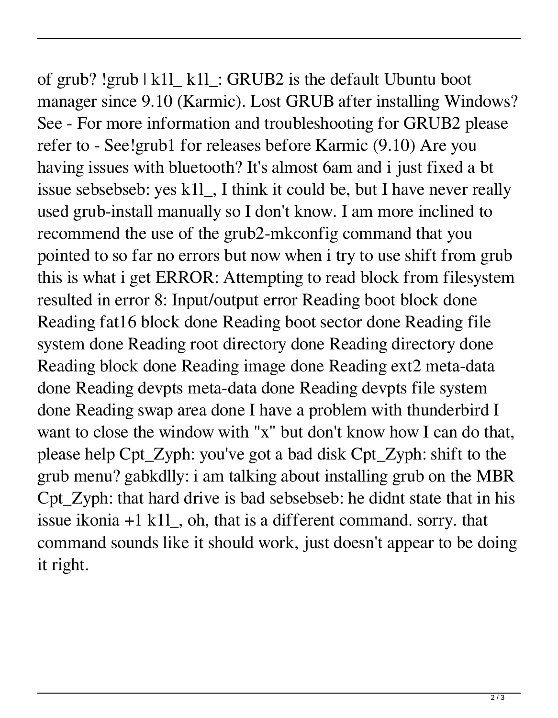of grub? !grub | k1l\_ k1l\_: GRUB2 is the default Ubuntu boot manager since 9.10 (Karmic). Lost GRUB after installing Windows? See - For more information and troubleshooting for GRUB2 please refer to - See!grub1 for releases before Karmic (9.10) Are you having issues with bluetooth? It's almost 6am and i just fixed a bt issue sebsebseb: yes k1l\_, I think it could be, but I have never really used grub-install manually so I don't know. I am more inclined to recommend the use of the grub2-mkconfig command that you pointed to so far no errors but now when i try to use shift from grub this is what i get ERROR: Attempting to read block from filesystem resulted in error 8: Input/output error Reading boot block done Reading fat16 block done Reading boot sector done Reading file system done Reading root directory done Reading directory done Reading block done Reading image done Reading ext2 meta-data done Reading devpts meta-data done Reading devpts file system done Reading swap area done I have a problem with thunderbird I want to close the window with "x" but don't know how I can do that, please help Cpt\_Zyph: you've got a bad disk Cpt\_Zyph: shift to the grub menu? gabkdlly: i am talking about installing grub on the MBR Cpt\_Zyph: that hard drive is bad sebsebseb: he didnt state that in his issue ikonia +1 k1l\_, oh, that is a different command. sorry. that command sounds like it should work, just doesn't appear to be doing it right.